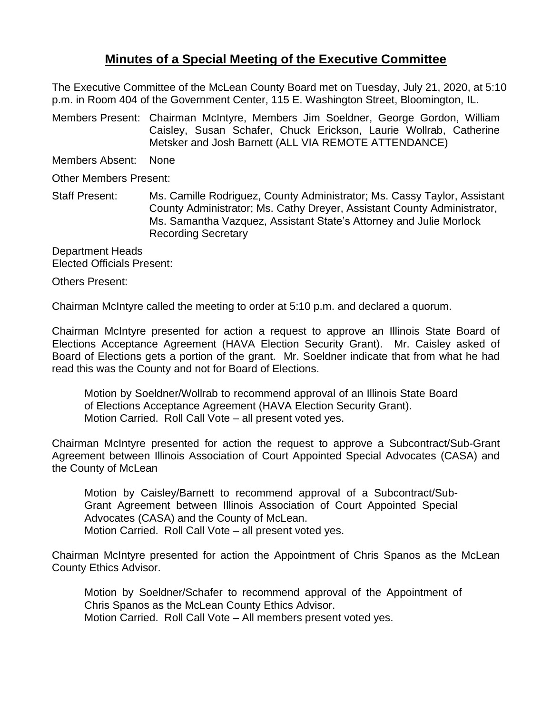## **Minutes of a Special Meeting of the Executive Committee**

The Executive Committee of the McLean County Board met on Tuesday, July 21, 2020, at 5:10 p.m. in Room 404 of the Government Center, 115 E. Washington Street, Bloomington, IL.

Members Present: Chairman McIntyre, Members Jim Soeldner, George Gordon, William Caisley, Susan Schafer, Chuck Erickson, Laurie Wollrab, Catherine Metsker and Josh Barnett (ALL VIA REMOTE ATTENDANCE)

Members Absent: None

Other Members Present:

Staff Present: Ms. Camille Rodriguez, County Administrator; Ms. Cassy Taylor, Assistant County Administrator; Ms. Cathy Dreyer, Assistant County Administrator, Ms. Samantha Vazquez, Assistant State's Attorney and Julie Morlock Recording Secretary

Department Heads Elected Officials Present:

Others Present:

Chairman McIntyre called the meeting to order at 5:10 p.m. and declared a quorum.

Chairman McIntyre presented for action a request to approve an Illinois State Board of Elections Acceptance Agreement (HAVA Election Security Grant). Mr. Caisley asked of Board of Elections gets a portion of the grant. Mr. Soeldner indicate that from what he had read this was the County and not for Board of Elections.

Motion by Soeldner/Wollrab to recommend approval of an Illinois State Board of Elections Acceptance Agreement (HAVA Election Security Grant). Motion Carried. Roll Call Vote – all present voted yes.

Chairman McIntyre presented for action the request to approve a Subcontract/Sub-Grant Agreement between Illinois Association of Court Appointed Special Advocates (CASA) and the County of McLean

Motion by Caisley/Barnett to recommend approval of a Subcontract/Sub-Grant Agreement between Illinois Association of Court Appointed Special Advocates (CASA) and the County of McLean. Motion Carried. Roll Call Vote – all present voted yes.

Chairman McIntyre presented for action the Appointment of Chris Spanos as the McLean County Ethics Advisor.

Motion by Soeldner/Schafer to recommend approval of the Appointment of Chris Spanos as the McLean County Ethics Advisor. Motion Carried. Roll Call Vote – All members present voted yes.